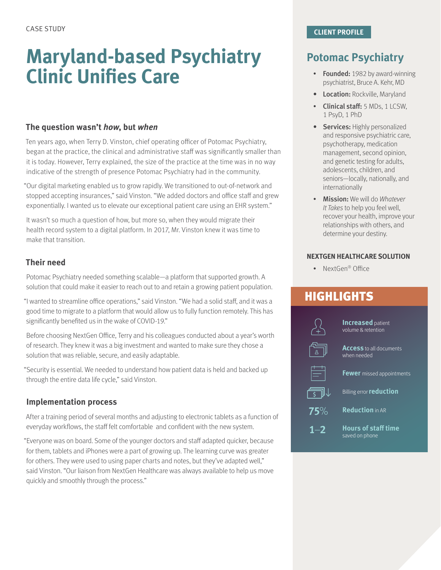# **Maryland-based Psychiatry Clinic Unifies Care**

#### **The question wasn't** *how***, but** *when*

Ten years ago, when Terry D. Vinston, chief operating officer of Potomac Psychiatry, began at the practice, the clinical and administrative staff was significantly smaller than it is today. However, Terry explained, the size of the practice at the time was in no way indicative of the strength of presence Potomac Psychiatry had in the community.

"Our digital marketing enabled us to grow rapidly. We transitioned to out-of-network and stopped accepting insurances," said Vinston. "We added doctors and office staff and grew exponentially. I wanted us to elevate our exceptional patient care using an EHR system."

It wasn't so much a question of how, but more so, when they would migrate their health record system to a digital platform. In 2017, Mr. Vinston knew it was time to make that transition.

### **Their need**

Potomac Psychiatry needed something scalable—a platform that supported growth. A solution that could make it easier to reach out to and retain a growing patient population.

"I wanted to streamline office operations," said Vinston. "We had a solid staff, and it was a good time to migrate to a platform that would allow us to fully function remotely. This has significantly benefited us in the wake of COVID-19."

Before choosing NextGen Office, Terry and his colleagues conducted about a year's worth of research. They knew it was a big investment and wanted to make sure they chose a solution that was reliable, secure, and easily adaptable.

"Security is essential. We needed to understand how patient data is held and backed up through the entire data life cycle," said Vinston.

### **Implementation process**

After a training period of several months and adjusting to electronic tablets as a function of everyday workflows, the staff felt comfortable and confident with the new system.

"Everyone was on board. Some of the younger doctors and staff adapted quicker, because for them, tablets and iPhones were a part of growing up. The learning curve was greater for others. They were used to using paper charts and notes, but they've adapted well," said Vinston. "Our liaison from NextGen Healthcare was always available to help us move quickly and smoothly through the process."

# **Potomac Psychiatry**

- Founded: 1982 by award-winning psychiatrist, Bruce A. Kehr, MD
- Location: Rockville, Maryland
- Clinical staff: 5 MDs, 1 LCSW, 1 PsyD, 1 PhD
- Services: Highly personalized and responsive psychiatric care, psychotherapy, medication management, second opinion, and genetic testing for adults, adolescents, children, and seniors—locally, nationally, and internationally
- Mission: We will do *Whatever It Takes* to help you feel well, recover your health, improve your relationships with others, and determine your destiny.

#### **NEXTGEN HEALTHCARE SOLUTION**

• NextGen® Office